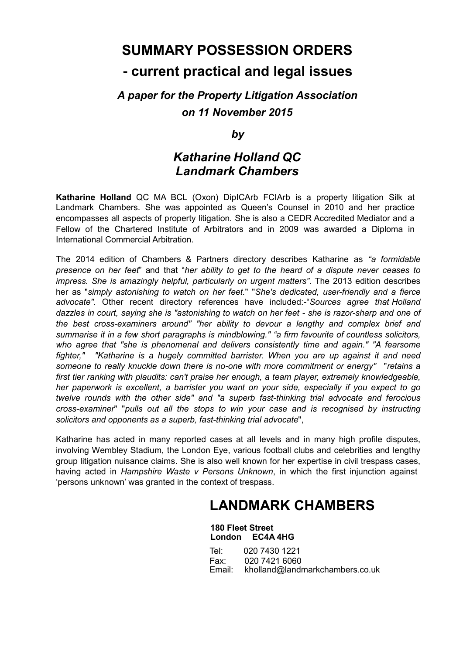## **SUMMARY POSSESSION ORDERS - current practical and legal issues**

## *A paper for the Property Litigation Association on 11 November 2015*

*by*

### *Katharine Holland QC Landmark Chambers*

**Katharine Holland** QC MA BCL (Oxon) DipICArb FCIArb is a property litigation Silk at Landmark Chambers. She was appointed as Queen's Counsel in 2010 and her practice encompasses all aspects of property litigation. She is also a CEDR Accredited Mediator and a Fellow of the Chartered Institute of Arbitrators and in 2009 was awarded a Diploma in International Commercial Arbitration.

The 2014 edition of Chambers & Partners directory describes Katharine as *"a formidable presence on her feet*" and that "*her ability to get to the heard of a dispute never ceases to impress. She is amazingly helpful, particularly on urgent matters"*. The 2013 edition describes her as "*simply astonishing to watch on her feet.*" "*She's dedicated, user-friendly and a fierce advocate".* Other recent directory references have included:-"*Sources agree that Holland dazzles in court, saying she is "astonishing to watch on her feet - she is razor-sharp and one of the best cross-examiners around" "her ability to devour a lengthy and complex brief and summarise it in a few short paragraphs is mindblowing." "a firm favourite of countless solicitors, who agree that "she is phenomenal and delivers consistently time and again." "A fearsome fighter," "Katharine is a hugely committed barrister. When you are up against it and need someone to really knuckle down there is no-one with more commitment or energy"* "*retains a first tier ranking with plaudits: can't praise her enough, a team player, extremely knowledgeable, her paperwork is excellent, a barrister you want on your side, especially if you expect to go twelve rounds with the other side" and "a superb fast-thinking trial advocate and ferocious cross-examiner*" "*pulls out all the stops to win your case and is recognised by instructing solicitors and opponents as a superb, fast-thinking trial advocate*",

Katharine has acted in many reported cases at all levels and in many high profile disputes, involving Wembley Stadium, the London Eye, various football clubs and celebrities and lengthy group litigation nuisance claims. She is also well known for her expertise in civil trespass cases, having acted in *Hampshire Waste v Persons Unknown*, in which the first injunction against 'persons unknown' was granted in the context of trespass.

## **LANDMARK CHAMBERS**

**180 Fleet Street London EC4A 4HG**

Tel: 020 7430 1221 Fax: 020 7421 6060<br>Email: kholland@landı [kholland@landmarkchambers.co.uk](mailto:kholland@landmarkchambers.co.uk)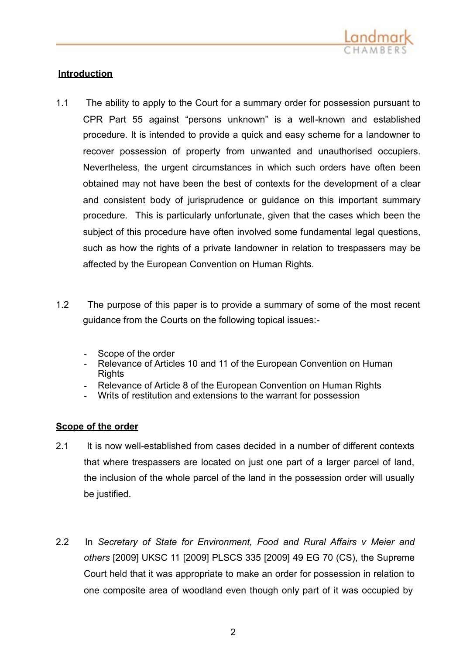

#### **Introduction**

- 1.1 The ability to apply to the Court for a summary order for possession pursuant to CPR Part 55 against "persons unknown" is a well-known and established procedure. It is intended to provide a quick and easy scheme for a landowner to recover possession of property from unwanted and unauthorised occupiers. Nevertheless, the urgent circumstances in which such orders have often been obtained may not have been the best of contexts for the development of a clear and consistent body of jurisprudence or guidance on this important summary procedure. This is particularly unfortunate, given that the cases which been the subject of this procedure have often involved some fundamental legal questions, such as how the rights of a private landowner in relation to trespassers may be affected by the European Convention on Human Rights.
- 1.2 The purpose of this paper is to provide a summary of some of the most recent guidance from the Courts on the following topical issues:-
	- Scope of the order
	- Relevance of Articles 10 and 11 of the European Convention on Human **Rights**
	- Relevance of Article 8 of the European Convention on Human Rights
	- Writs of restitution and extensions to the warrant for possession

#### **Scope of the order**

- 2.1 It is now well-established from cases decided in a number of different contexts that where trespassers are located on just one part of a larger parcel of land, the inclusion of the whole parcel of the land in the possession order will usually be justified.
- 2.2 In *Secretary of State for Environment, Food and Rural Affairs v Meier and others* [2009] UKSC 11 [2009] PLSCS 335 [2009] 49 EG 70 (CS), the Supreme Court held that it was appropriate to make an order for possession in relation to one composite area of woodland even though only part of it was occupied by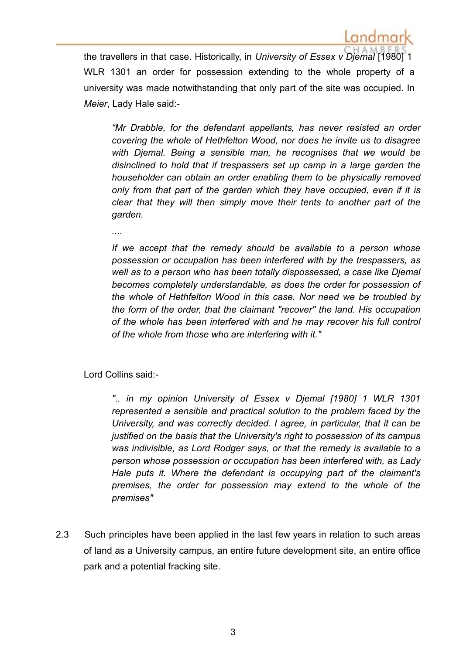the travellers in that case. Historically, in *University of Essex v Djemal* [1980] 1 WLR 1301 an order for possession extending to the whole property of a university was made notwithstanding that only part of the site was occupied. In *Meier*, Lady Hale said:-

*"Mr Drabble, for the defendant appellants, has never resisted an order covering the whole of Hethfelton Wood, nor does he invite us to disagree with Djemal. Being a sensible man, he recognises that we would be disinclined to hold that if trespassers set up camp in a large garden the householder can obtain an order enabling them to be physically removed only from that part of the garden which they have occupied, even if it is clear that they will then simply move their tents to another part of the garden.*

....

*If we accept that the remedy should be available to a person whose possession or occupation has been interfered with by the trespassers, as well as to a person who has been totally dispossessed, a case like Djemal becomes completely understandable, as does the order for possession of the whole of Hethfelton Wood in this case. Nor need we be troubled by the form of the order, that the claimant "recover" the land. His occupation of the whole has been interfered with and he may recover his full control of the whole from those who are interfering with it."*

Lord Collins said:-

*".. in my opinion University of Essex v Djemal [1980] 1 WLR 1301 represented a sensible and practical solution to the problem faced by the University, and was correctly decided. I agree, in particular, that it can be justified on the basis that the University's right to possession of its campus was indivisible, as Lord Rodger says, or that the remedy is available to a person whose possession or occupation has been interfered with, as Lady Hale puts it. Where the defendant is occupying part of the claimant's premises, the order for possession may extend to the whole of the premises"*

2.3 Such principles have been applied in the last few years in relation to such areas of land as a University campus, an entire future development site, an entire office park and a potential fracking site.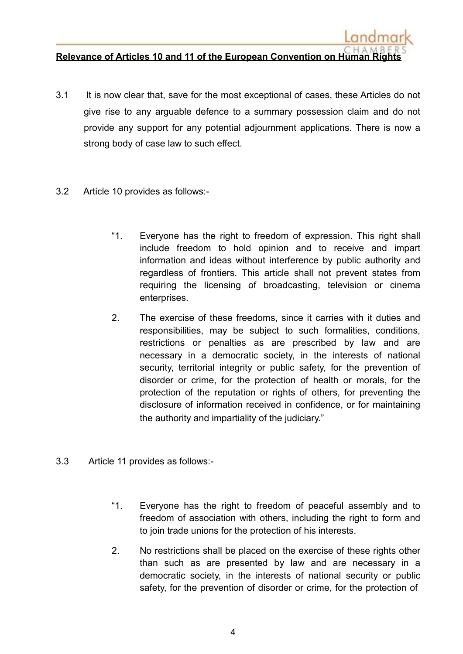#### **Relevance of Articles 10 and 11 of the European Convention on Human Rights**

- 3.1 It is now clear that, save for the most exceptional of cases, these Articles do not give rise to any arguable defence to a summary possession claim and do not provide any support for any potential adjournment applications. There is now a strong body of case law to such effect.
- 3.2 Article 10 provides as follows:-
	- "1. Everyone has the right to freedom of expression. This right shall include freedom to hold opinion and to receive and impart information and ideas without interference by public authority and regardless of frontiers. This article shall not prevent states from requiring the licensing of broadcasting, television or cinema enterprises.
	- 2. The exercise of these freedoms, since it carries with it duties and responsibilities, may be subject to such formalities, conditions, restrictions or penalties as are prescribed by law and are necessary in a democratic society, in the interests of national security, territorial integrity or public safety, for the prevention of disorder or crime, for the protection of health or morals, for the protection of the reputation or rights of others, for preventing the disclosure of information received in confidence, or for maintaining the authority and impartiality of the judiciary."
- 3.3 Article 11 provides as follows:-
	- "1. Everyone has the right to freedom of peaceful assembly and to freedom of association with others, including the right to form and to join trade unions for the protection of his interests.
	- 2. No restrictions shall be placed on the exercise of these rights other than such as are presented by law and are necessary in a democratic society, in the interests of national security or public safety, for the prevention of disorder or crime, for the protection of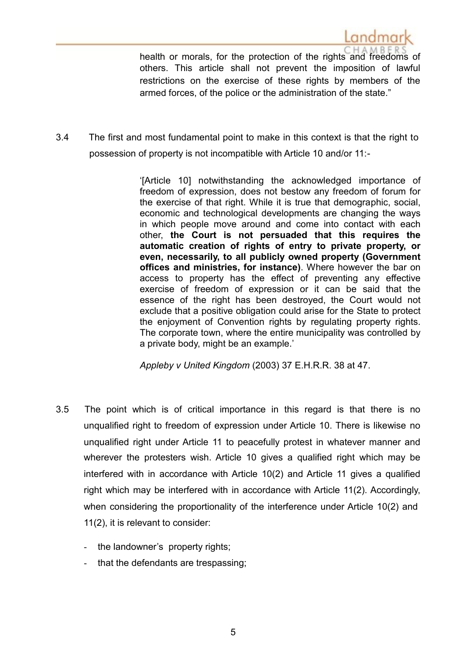health or morals, for the protection of the rights and freedoms of others. This article shall not prevent the imposition of lawful restrictions on the exercise of these rights by members of the armed forces, of the police or the administration of the state."

andmar

3.4 The first and most fundamental point to make in this context is that the right to possession of property is not incompatible with Article 10 and/or 11:-

> '[Article 10] notwithstanding the acknowledged importance of freedom of expression, does not bestow any freedom of forum for the exercise of that right. While it is true that demographic, social, economic and technological developments are changing the ways in which people move around and come into contact with each other, **the Court is not persuaded that this requires the automatic creation of rights of entry to private property, or even, necessarily, to all publicly owned property (Government offices and ministries, for instance)**. Where however the bar on access to property has the effect of preventing any effective exercise of freedom of expression or it can be said that the essence of the right has been destroyed, the Court would not exclude that a positive obligation could arise for the State to protect the enjoyment of Convention rights by regulating property rights. The corporate town, where the entire municipality was controlled by a private body, might be an example.'

*Appleby v United Kingdom* (2003) 37 E.H.R.R. 38 at 47.

- 3.5 The point which is of critical importance in this regard is that there is no unqualified right to freedom of expression under Article 10. There is likewise no unqualified right under Article 11 to peacefully protest in whatever manner and wherever the protesters wish. Article 10 gives a qualified right which may be interfered with in accordance with Article 10(2) and Article 11 gives a qualified right which may be interfered with in accordance with Article 11(2). Accordingly, when considering the proportionality of the interference under Article 10(2) and 11(2), it is relevant to consider:
	- the landowner's property rights;
	- that the defendants are trespassing;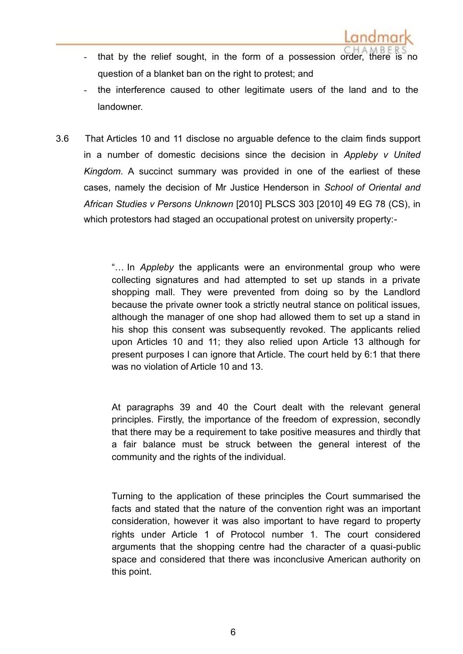- that by the relief sought, in the form of a possession order, there is no question of a blanket ban on the right to protest; and
- the interference caused to other legitimate users of the land and to the landowner.
- 3.6 That Articles 10 and 11 disclose no arguable defence to the claim finds support in a number of domestic decisions since the decision in *Appleby v United Kingdom*. A succinct summary was provided in one of the earliest of these cases, namely the decision of Mr Justice Henderson in *School of Oriental and African Studies v Persons Unknown* [2010] PLSCS 303 [2010] 49 EG 78 (CS), in which protestors had staged an occupational protest on university property:-

"… In *Appleby* the applicants were an environmental group who were collecting signatures and had attempted to set up stands in a private shopping mall. They were prevented from doing so by the Landlord because the private owner took a strictly neutral stance on political issues, although the manager of one shop had allowed them to set up a stand in his shop this consent was subsequently revoked. The applicants relied upon Articles 10 and 11; they also relied upon Article 13 although for present purposes I can ignore that Article. The court held by 6:1 that there was no violation of Article 10 and 13.

At paragraphs 39 and 40 the Court dealt with the relevant general principles. Firstly, the importance of the freedom of expression, secondly that there may be a requirement to take positive measures and thirdly that a fair balance must be struck between the general interest of the community and the rights of the individual.

Turning to the application of these principles the Court summarised the facts and stated that the nature of the convention right was an important consideration, however it was also important to have regard to property rights under Article 1 of Protocol number 1. The court considered arguments that the shopping centre had the character of a quasi-public space and considered that there was inconclusive American authority on this point.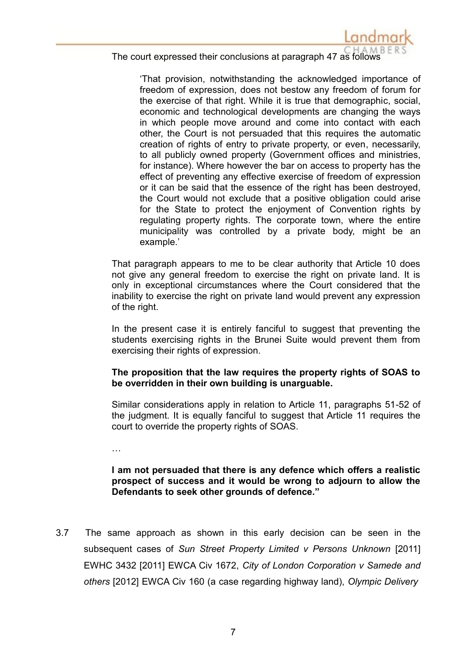

'That provision, notwithstanding the acknowledged importance of freedom of expression, does not bestow any freedom of forum for the exercise of that right. While it is true that demographic, social, economic and technological developments are changing the ways in which people move around and come into contact with each other, the Court is not persuaded that this requires the automatic creation of rights of entry to private property, or even, necessarily, to all publicly owned property (Government offices and ministries, for instance). Where however the bar on access to property has the effect of preventing any effective exercise of freedom of expression or it can be said that the essence of the right has been destroyed, the Court would not exclude that a positive obligation could arise for the State to protect the enjoyment of Convention rights by regulating property rights. The corporate town, where the entire municipality was controlled by a private body, might be an example.'

That paragraph appears to me to be clear authority that Article 10 does not give any general freedom to exercise the right on private land. It is only in exceptional circumstances where the Court considered that the inability to exercise the right on private land would prevent any expression of the right.

In the present case it is entirely fanciful to suggest that preventing the students exercising rights in the Brunei Suite would prevent them from exercising their rights of expression.

#### **The proposition that the law requires the property rights of SOAS to be overridden in their own building is unarguable.**

Similar considerations apply in relation to Article 11, paragraphs 51-52 of the judgment. It is equally fanciful to suggest that Article 11 requires the court to override the property rights of SOAS.

…

#### **I am not persuaded that there is any defence which offers a realistic prospect of success and it would be wrong to adjourn to allow the Defendants to seek other grounds of defence."**

3.7 The same approach as shown in this early decision can be seen in the subsequent cases of *Sun Street Property Limited v Persons Unknown* [2011] EWHC 3432 [2011] EWCA Civ 1672, *City of London Corporation v Samede and others* [2012] EWCA Civ 160 (a case regarding highway land), *Olympic Delivery*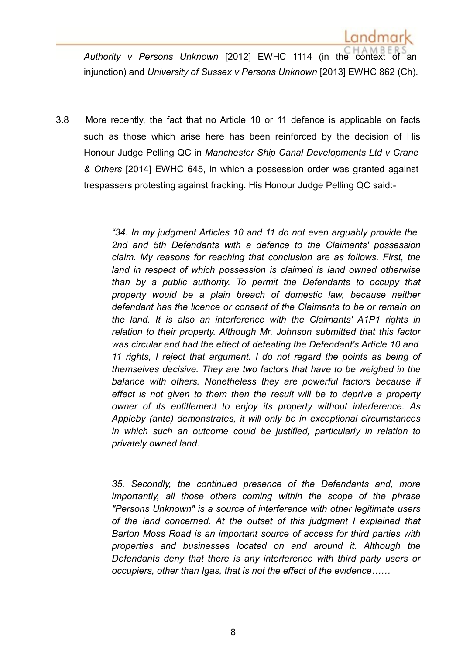*Authority v Persons Unknown* [2012] EWHC 1114 (in the context of an injunction) and *University of Sussex v Persons Unknown* [2013] EWHC 862 (Ch).

3.8 More recently, the fact that no Article 10 or 11 defence is applicable on facts such as those which arise here has been reinforced by the decision of His Honour Judge Pelling QC in *Manchester Ship Canal Developments Ltd v Crane & Others* [2014] EWHC 645, in which a possession order was granted against trespassers protesting against fracking. His Honour Judge Pelling QC said:-

> *"34. In my judgment Articles 10 and 11 do not even arguably provide the 2nd and 5th Defendants with a defence to the Claimants' possession claim. My reasons for reaching that conclusion are as follows. First, the land in respect of which possession is claimed is land owned otherwise than by a public authority. To permit the Defendants to occupy that property would be a plain breach of domestic law, because neither defendant has the licence or consent of the Claimants to be or remain on the land. It is also an interference with the Claimants' A1P1 rights in relation to their property. Although Mr. Johnson submitted that this factor was circular and had the effect of defeating the Defendant's Article 10 and 11 rights, I reject that argument. I do not regard the points as being of themselves decisive. They are two factors that have to be weighed in the balance with others. Nonetheless they are powerful factors because if effect is not given to them then the result will be to deprive a property owner of its entitlement to enjoy its property without interference. As Appleby (ante) demonstrates, it will only be in exceptional circumstances in which such an outcome could be justified, particularly in relation to privately owned land.*

> *35. Secondly, the continued presence of the Defendants and, more importantly, all those others coming within the scope of the phrase "Persons Unknown" is a source of interference with other legitimate users of the land concerned. At the outset of this judgment I explained that Barton Moss Road is an important source of access for third parties with properties and businesses located on and around it. Although the Defendants deny that there is any interference with third party users or occupiers, other than Igas, that is not the effect of the evidence……*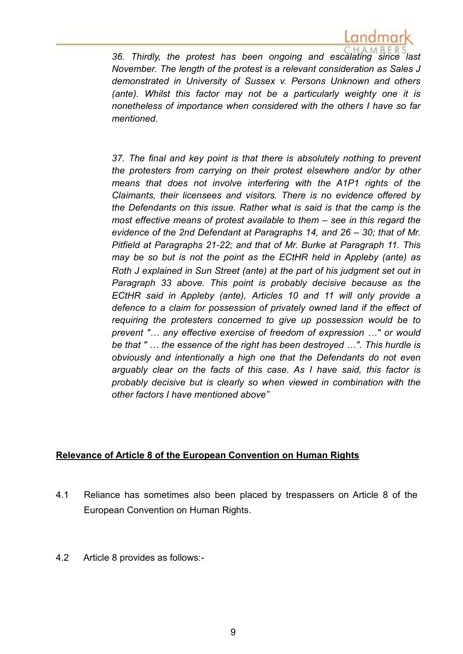

*36. Thirdly, the protest has been ongoing and escalating since last November. The length of the protest is a relevant consideration as Sales J demonstrated in University of Sussex v. Persons Unknown and others (ante). Whilst this factor may not be a particularly weighty one it is nonetheless of importance when considered with the others I have so far mentioned.*

*37. The final and key point is that there is absolutely nothing to prevent the protesters from carrying on their protest elsewhere and/or by other means that does not involve interfering with the A1P1 rights of the Claimants, their licensees and visitors. There is no evidence offered by the Defendants on this issue. Rather what is said is that the camp is the most effective means of protest available to them – see in this regard the evidence of the 2nd Defendant at Paragraphs 14, and 26 – 30; that of Mr. Pitfield at Paragraphs 21-22; and that of Mr. Burke at Paragraph 11. This may be so but is not the point as the ECtHR held in Appleby (ante) as Roth J explained in Sun Street (ante) at the part of his judgment set out in Paragraph 33 above. This point is probably decisive because as the ECtHR said in Appleby (ante), Articles 10 and 11 will only provide a defence to a claim for possession of privately owned land if the effect of requiring the protesters concerned to give up possession would be to prevent "… any effective exercise of freedom of expression …" or would be that " … the essence of the right has been destroyed …". This hurdle is obviously and intentionally a high one that the Defendants do not even arguably clear on the facts of this case. As I have said, this factor is probably decisive but is clearly so when viewed in combination with the other factors I have mentioned above"*

#### **Relevance of Article 8 of the European Convention on Human Rights**

- 4.1 Reliance has sometimes also been placed by trespassers on Article 8 of the European Convention on Human Rights.
- 4.2 Article 8 provides as follows:-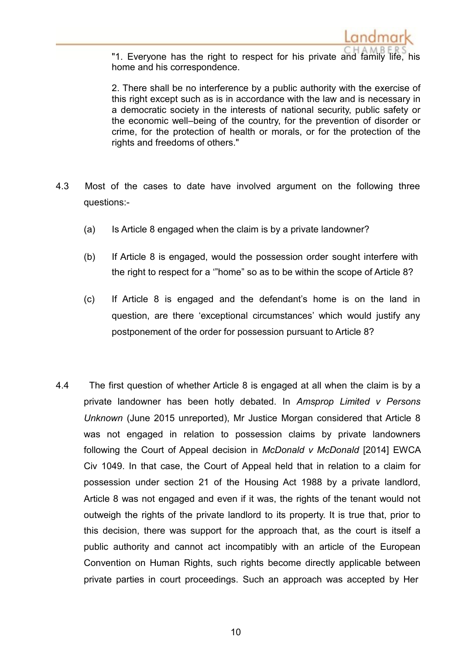

"1. Everyone has the right to respect for his private and family life, his home and his correspondence.

2. There shall be no interference by a public authority with the exercise of this right except such as is in accordance with the law and is necessary in a democratic society in the interests of national security, public safety or the economic well–being of the country, for the prevention of disorder or crime, for the protection of health or morals, or for the protection of the rights and freedoms of others."

- 4.3 Most of the cases to date have involved argument on the following three questions:-
	- (a) Is Article 8 engaged when the claim is by a private landowner?
	- (b) If Article 8 is engaged, would the possession order sought interfere with the right to respect for a '"home" so as to be within the scope of Article 8?
	- (c) If Article 8 is engaged and the defendant's home is on the land in question, are there 'exceptional circumstances' which would justify any postponement of the order for possession pursuant to Article 8?
- 4.4 The first question of whether Article 8 is engaged at all when the claim is by a private landowner has been hotly debated. In *Amsprop Limited v Persons Unknown* (June 2015 unreported), Mr Justice Morgan considered that Article 8 was not engaged in relation to possession claims by private landowners following the Court of Appeal decision in *McDonald v McDonald* [2014] EWCA Civ 1049. In that case, the Court of Appeal held that in relation to a claim for possession under section 21 of the Housing Act 1988 by a private landlord, Article 8 was not engaged and even if it was, the rights of the tenant would not outweigh the rights of the private landlord to its property. It is true that, prior to this decision, there was support for the approach that, as the court is itself a public authority and cannot act incompatibly with an article of the European Convention on Human Rights, such rights become directly applicable between private parties in court proceedings. Such an approach was accepted by Her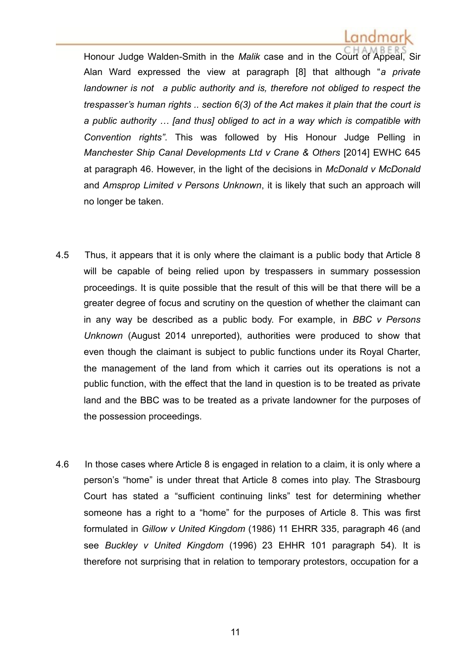# Landmar

Honour Judge Walden-Smith in the *Malik* case and in the Court of Appeal, Sir Alan Ward expressed the view at paragraph [8] that although "*a private landowner is not a public authority and is, therefore not obliged to respect the trespasser's human rights .. section 6(3) of the Act makes it plain that the court is a public authority … [and thus] obliged to act in a way which is compatible with Convention rights"*. This was followed by His Honour Judge Pelling in *Manchester Ship Canal Developments Ltd v Crane & Others* [2014] EWHC 645 at paragraph 46. However, in the light of the decisions in *McDonald v McDonald*  and *Amsprop Limited v Persons Unknown*, it is likely that such an approach will no longer be taken.

- 4.5 Thus, it appears that it is only where the claimant is a public body that Article 8 will be capable of being relied upon by trespassers in summary possession proceedings. It is quite possible that the result of this will be that there will be a greater degree of focus and scrutiny on the question of whether the claimant can in any way be described as a public body. For example, in *BBC v Persons Unknown* (August 2014 unreported), authorities were produced to show that even though the claimant is subject to public functions under its Royal Charter, the management of the land from which it carries out its operations is not a public function, with the effect that the land in question is to be treated as private land and the BBC was to be treated as a private landowner for the purposes of the possession proceedings.
- 4.6 In those cases where Article 8 is engaged in relation to a claim, it is only where a person's "home" is under threat that Article 8 comes into play. The Strasbourg Court has stated a "sufficient continuing links" test for determining whether someone has a right to a "home" for the purposes of Article 8. This was first formulated in *Gillow v United Kingdom* (1986) 11 EHRR 335, paragraph 46 (and see *Buckley v United Kingdom* (1996) 23 EHHR 101 paragraph 54). It is therefore not surprising that in relation to temporary protestors, occupation for a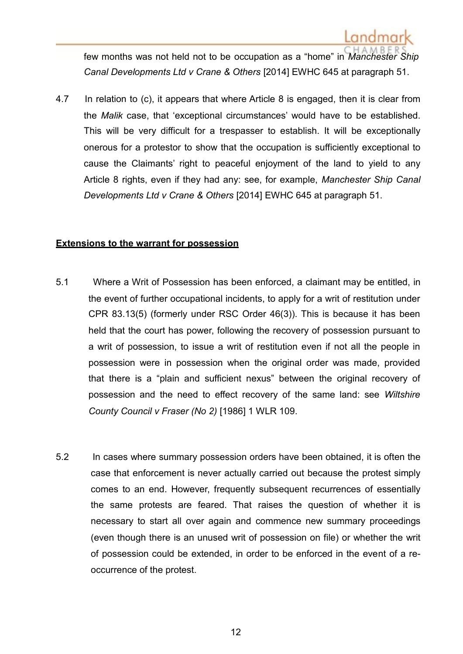few months was not held not to be occupation as a "home" in *Manchester Ship Canal Developments Ltd v Crane & Others* [2014] EWHC 645 at paragraph 51.

4.7 In relation to (c), it appears that where Article 8 is engaged, then it is clear from the *Malik* case, that 'exceptional circumstances' would have to be established. This will be very difficult for a trespasser to establish. It will be exceptionally onerous for a protestor to show that the occupation is sufficiently exceptional to cause the Claimants' right to peaceful enjoyment of the land to yield to any Article 8 rights, even if they had any: see, for example, *Manchester Ship Canal Developments Ltd v Crane & Others* [2014] EWHC 645 at paragraph 51.

#### **Extensions to the warrant for possession**

- 5.1 Where a Writ of Possession has been enforced, a claimant may be entitled, in the event of further occupational incidents, to apply for a writ of restitution under CPR 83.13(5) (formerly under RSC Order 46(3)). This is because it has been held that the court has power, following the recovery of possession pursuant to a writ of possession, to issue a writ of restitution even if not all the people in possession were in possession when the original order was made, provided that there is a "plain and sufficient nexus" between the original recovery of possession and the need to effect recovery of the same land: see *Wiltshire County Council v Fraser (No 2)* [1986] 1 WLR 109.
- 5.2 In cases where summary possession orders have been obtained, it is often the case that enforcement is never actually carried out because the protest simply comes to an end. However, frequently subsequent recurrences of essentially the same protests are feared. That raises the question of whether it is necessary to start all over again and commence new summary proceedings (even though there is an unused writ of possession on file) or whether the writ of possession could be extended, in order to be enforced in the event of a reoccurrence of the protest.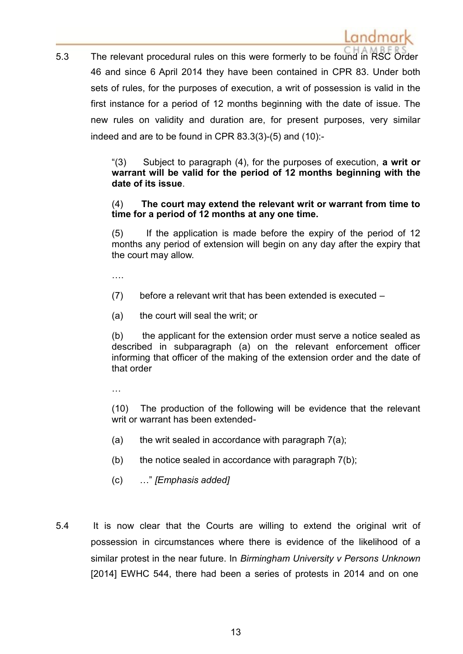5.3 The relevant procedural rules on this were formerly to be found in RSC Order 46 and since 6 April 2014 they have been contained in CPR 83. Under both sets of rules, for the purposes of execution, a writ of possession is valid in the first instance for a period of 12 months beginning with the date of issue. The new rules on validity and duration are, for present purposes, very similar indeed and are to be found in CPR 83.3(3)-(5) and (10):-

> "(3) Subject to paragraph (4), for the purposes of execution, **a writ or warrant will be valid for the period of 12 months beginning with the date of its issue**.

#### (4) **The court may extend the relevant writ or warrant from time to time for a period of 12 months at any one time.**

(5) If the application is made before the expiry of the period of 12 months any period of extension will begin on any day after the expiry that the court may allow.

….

- (7) before a relevant writ that has been extended is executed –
- (a) the court will seal the writ; or

(b) the applicant for the extension order must serve a notice sealed as described in subparagraph (a) on the relevant enforcement officer informing that officer of the making of the extension order and the date of that order

…

(10) The production of the following will be evidence that the relevant writ or warrant has been extended-

- (a) the writ sealed in accordance with paragraph  $7(a)$ ;
- (b) the notice sealed in accordance with paragraph 7(b);
- (c) …" *[Emphasis added]*
- 5.4 It is now clear that the Courts are willing to extend the original writ of possession in circumstances where there is evidence of the likelihood of a similar protest in the near future. In *Birmingham University v Persons Unknown*  [2014] EWHC 544, there had been a series of protests in 2014 and on one